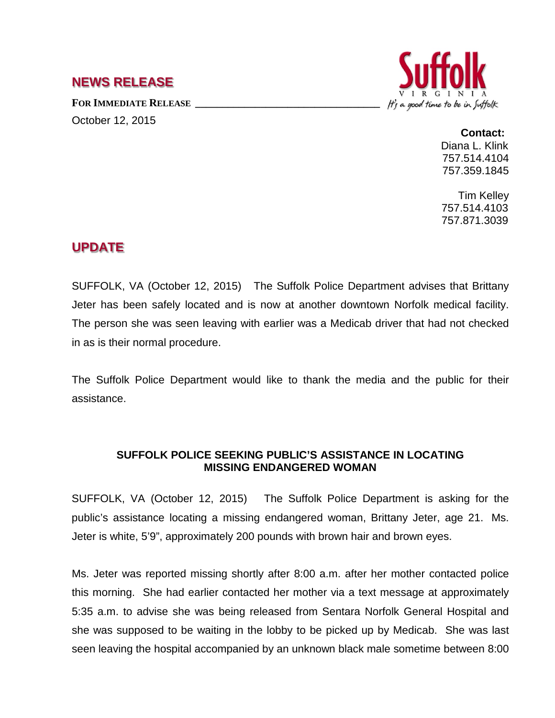## **NEWS RELEASE**

FOR **IMMEDIATE RELEASE** 

October 12, 2015



## **Contact:**

Diana L. Klink 757.514.4104 757.359.1845

Tim Kelley 757.514.4103 757.871.3039

## **UPDATE**

SUFFOLK, VA (October 12, 2015) The Suffolk Police Department advises that Brittany Jeter has been safely located and is now at another downtown Norfolk medical facility. The person she was seen leaving with earlier was a Medicab driver that had not checked in as is their normal procedure.

The Suffolk Police Department would like to thank the media and the public for their assistance.

## **SUFFOLK POLICE SEEKING PUBLIC'S ASSISTANCE IN LOCATING MISSING ENDANGERED WOMAN**

SUFFOLK, VA (October 12, 2015) The Suffolk Police Department is asking for the public's assistance locating a missing endangered woman, Brittany Jeter, age 21. Ms. Jeter is white, 5'9", approximately 200 pounds with brown hair and brown eyes.

Ms. Jeter was reported missing shortly after 8:00 a.m. after her mother contacted police this morning. She had earlier contacted her mother via a text message at approximately 5:35 a.m. to advise she was being released from Sentara Norfolk General Hospital and she was supposed to be waiting in the lobby to be picked up by Medicab. She was last seen leaving the hospital accompanied by an unknown black male sometime between 8:00